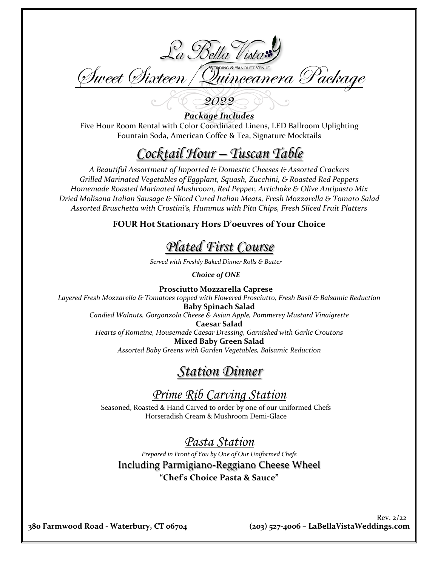

*Package Includes* Five Hour Room Rental with Color Coordinated Linens, LED Ballroom Uplighting Fountain Soda, American Coffee & Tea, Signature Mocktails

# *Cocktail Hour – Tuscan Table*

*A Beautiful Assortment of Imported & Domestic Cheeses & Assorted Crackers Grilled Marinated Vegetables of Eggplant, Squash, Zucchini, & Roasted Red Peppers Homemade Roasted Marinated Mushroom, Red Pepper, Artichoke & Olive Antipasto Mix Dried Molisana Italian Sausage & Sliced Cured Italian Meats, Fresh Mozzarella & Tomato Salad Assorted Bruschetta with Crostini's, Hummus with Pita Chips, Fresh Sliced Fruit Platters*

**FOUR Hot Stationary Hors D'oeuvres of Your Choice**

*Plated First Course*

*Served with Freshly Baked Dinner Rolls & Butter*

*Choice of ONE*

**Prosciutto Mozzarella Caprese** *Layered Fresh Mozzarella & Tomatoes topped with Flowered Prosciutto, Fresh Basil & Balsamic Reduction* **Baby Spinach Salad** *Candied Walnuts, Gorgonzola Cheese & Asian Apple, Pommerey Mustard Vinaigrette* **Caesar Salad**  *Hearts of Romaine, Housemade Caesar Dressing, Garnished with Garlic Croutons* **Mixed Baby Green Salad**  *Assorted Baby Greens with Garden Vegetables, Balsamic Reduction*

### *Station Dinner*

## *Prime Rib Carving Station*

Seasoned, Roasted & Hand Carved to order by one of our uniformed Chefs Horseradish Cream & Mushroom Demi-Glace

#### *Pasta Station*

*Prepared in Front of You by One of Our Uniformed Chefs*  Including Parmigiano-Reggiano Cheese Wheel **"Chef's Choice Pasta & Sauce"**

**380 Farmwood Road - Waterbury, CT 06704 (203) 527-4006 – LaBellaVistaWeddings.com**

Rev. 2/22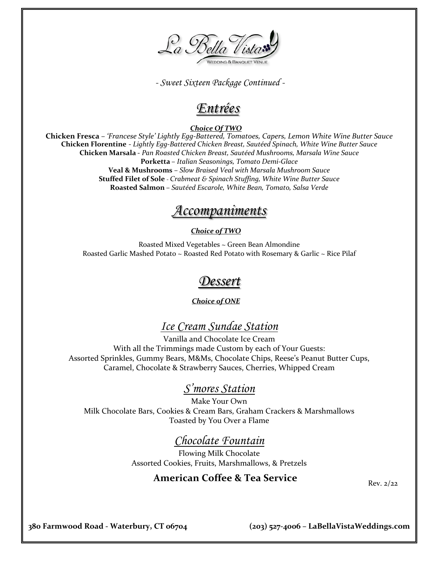

 *- Sweet Sixteen Package Continued -*

## *Entrées*

#### *Choice Of TWO*

**Chicken Fresca** – *'Francese Style' Lightly Egg-Battered, Tomatoes, Capers, Lemon White Wine Butter Sauce* **Chicken Florentine** - *Lightly Egg-Battered Chicken Breast, Sautéed Spinach, White Wine Butter Sauce* **Chicken Marsala** - *Pan Roasted Chicken Breast, Sautéed Mushrooms, Marsala Wine Sauce* **Porketta** – *Italian Seasonings, Tomato Demi-Glace* **Veal & Mushrooms** – *Slow Braised Veal with Marsala Mushroom Sauce* **Stuffed Filet of Sole** - *Crabmeat & Spinach Stuffing, White Wine Butter Sauce* **Roasted Salmon** – *Sautéed Escarole, White Bean, Tomato, Salsa Verde*

# *Accompaniments*

#### *Choice of TWO*

Roasted Mixed Vegetables ~ Green Bean Almondine Roasted Garlic Mashed Potato ~ Roasted Red Potato with Rosemary & Garlic ~ Rice Pilaf

## *Dessert*

*Choice of ONE*

#### *Ice Cream Sundae Station*

Vanilla and Chocolate Ice Cream With all the Trimmings made Custom by each of Your Guests: Assorted Sprinkles, Gummy Bears, M&Ms, Chocolate Chips, Reese's Peanut Butter Cups, Caramel, Chocolate & Strawberry Sauces, Cherries, Whipped Cream

#### *S'mores Station*

Make Your Own Milk Chocolate Bars, Cookies & Cream Bars, Graham Crackers & Marshmallows Toasted by You Over a Flame

#### *Chocolate Fountain*

Flowing Milk Chocolate Assorted Cookies, Fruits, Marshmallows, & Pretzels

#### **American Coffee & Tea Service** Rev. 2/22

**380 Farmwood Road - Waterbury, CT 06704 (203) 527-4006 – LaBellaVistaWeddings.com**